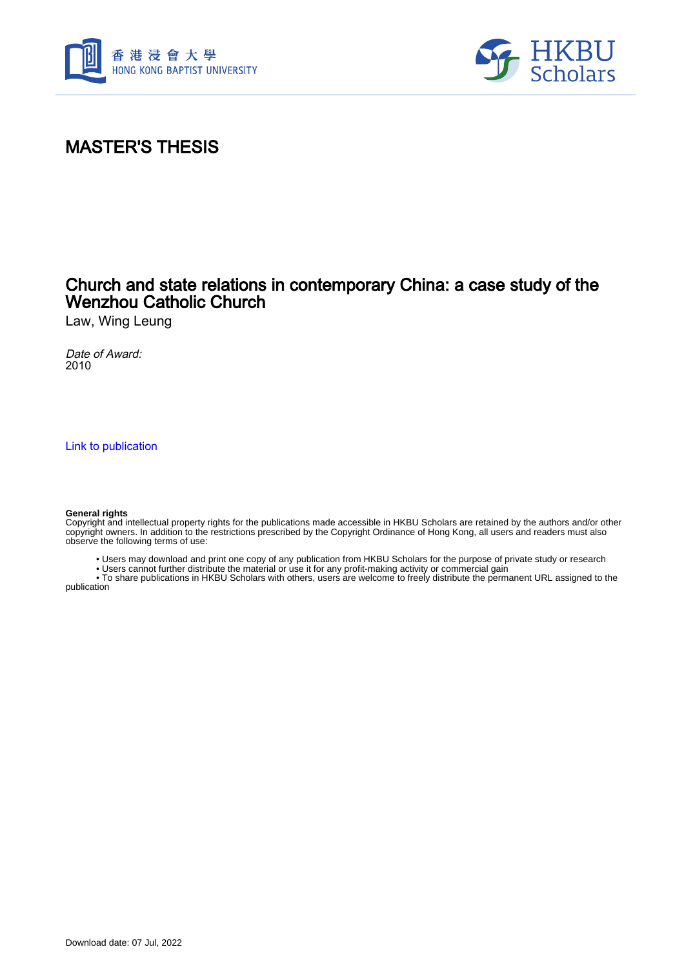



## MASTER'S THESIS

### Church and state relations in contemporary China: a case study of the Wenzhou Catholic Church

Law, Wing Leung

Date of Award: 2010

[Link to publication](https://scholars.hkbu.edu.hk/en/studentTheses/ac73053f-3e6a-4af3-9ec2-39b257adff83)

#### **General rights**

Copyright and intellectual property rights for the publications made accessible in HKBU Scholars are retained by the authors and/or other copyright owners. In addition to the restrictions prescribed by the Copyright Ordinance of Hong Kong, all users and readers must also observe the following terms of use:

• Users may download and print one copy of any publication from HKBU Scholars for the purpose of private study or research

• Users cannot further distribute the material or use it for any profit-making activity or commercial gain

 • To share publications in HKBU Scholars with others, users are welcome to freely distribute the permanent URL assigned to the publication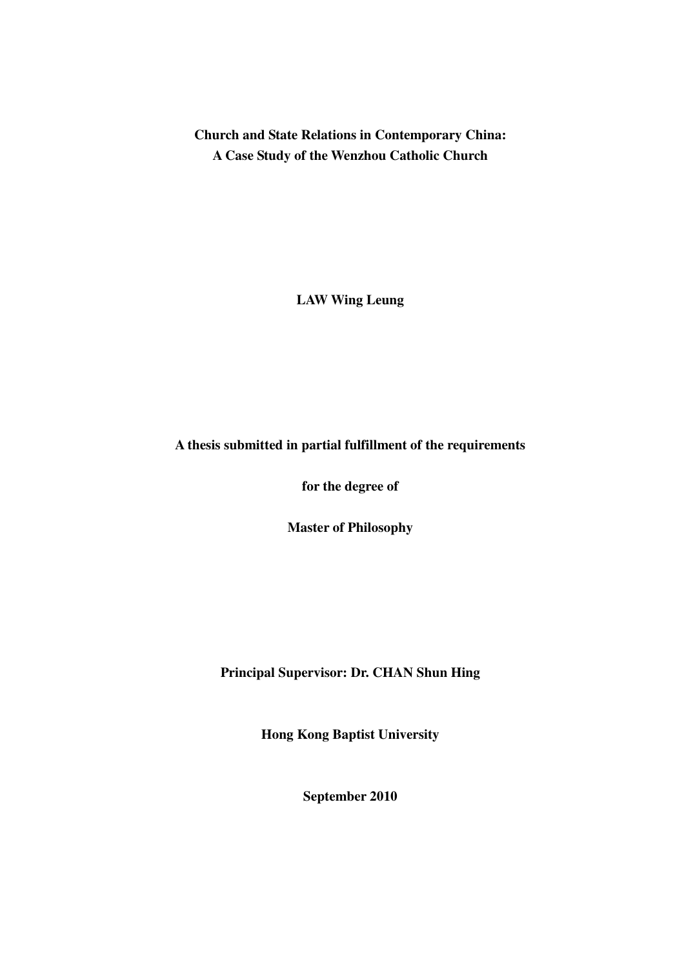**Church and State Relations in Contemporary China: A Case Study of the Wenzhou Catholic Church** 

**LAW Wing Leung** 

#### **A thesis submitted in partial fulfillment of the requirements**

**for the degree of** 

**Master of Philosophy** 

**Principal Supervisor: Dr. CHAN Shun Hing** 

**Hong Kong Baptist University** 

**September 2010**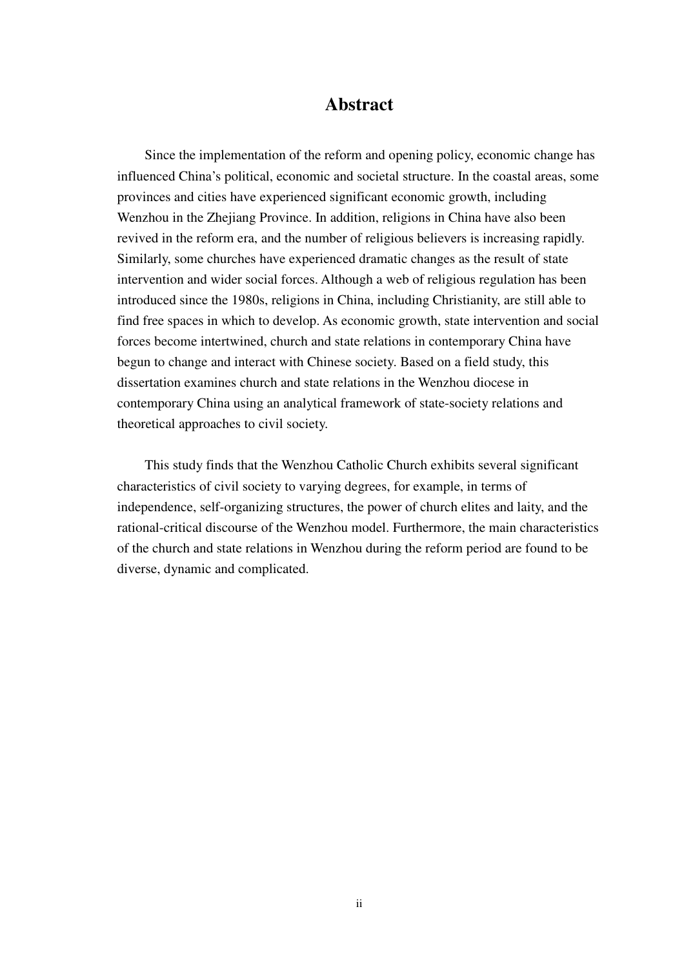#### **Abstract**

 Since the implementation of the reform and opening policy, economic change has influenced China's political, economic and societal structure. In the coastal areas, some provinces and cities have experienced significant economic growth, including Wenzhou in the Zhejiang Province. In addition, religions in China have also been revived in the reform era, and the number of religious believers is increasing rapidly. Similarly, some churches have experienced dramatic changes as the result of state intervention and wider social forces. Although a web of religious regulation has been introduced since the 1980s, religions in China, including Christianity, are still able to find free spaces in which to develop. As economic growth, state intervention and social forces become intertwined, church and state relations in contemporary China have begun to change and interact with Chinese society. Based on a field study, this dissertation examines church and state relations in the Wenzhou diocese in contemporary China using an analytical framework of state-society relations and theoretical approaches to civil society.

This study finds that the Wenzhou Catholic Church exhibits several significant characteristics of civil society to varying degrees, for example, in terms of independence, self-organizing structures, the power of church elites and laity, and the rational-critical discourse of the Wenzhou model. Furthermore, the main characteristics of the church and state relations in Wenzhou during the reform period are found to be diverse, dynamic and complicated.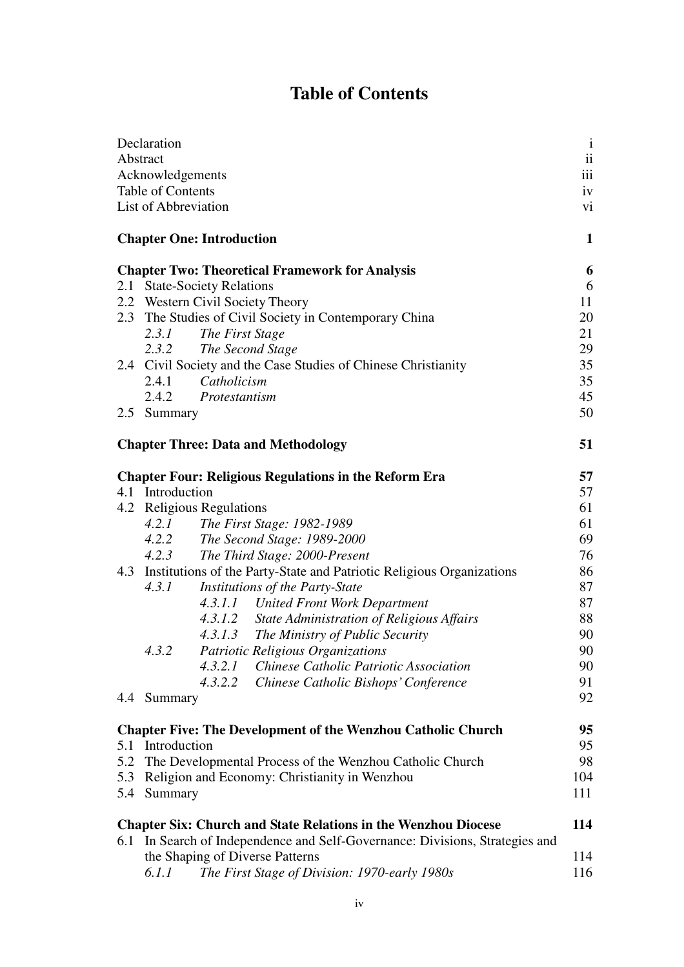# **Table of Contents**

|                  | Declaration                                                                                                                                              | $\mathbf{i}$<br>$\ddot{\rm ii}$ |  |  |  |
|------------------|----------------------------------------------------------------------------------------------------------------------------------------------------------|---------------------------------|--|--|--|
|                  | Abstract                                                                                                                                                 |                                 |  |  |  |
| Acknowledgements |                                                                                                                                                          |                                 |  |  |  |
|                  | Table of Contents                                                                                                                                        |                                 |  |  |  |
|                  | List of Abbreviation                                                                                                                                     | vi                              |  |  |  |
|                  | <b>Chapter One: Introduction</b>                                                                                                                         | 1                               |  |  |  |
|                  | <b>Chapter Two: Theoretical Framework for Analysis</b>                                                                                                   | 6                               |  |  |  |
|                  | 2.1 State-Society Relations                                                                                                                              |                                 |  |  |  |
|                  | 2.2 Western Civil Society Theory                                                                                                                         | 11                              |  |  |  |
|                  | 2.3 The Studies of Civil Society in Contemporary China                                                                                                   |                                 |  |  |  |
|                  | The First Stage<br>2.3.1                                                                                                                                 | 21                              |  |  |  |
|                  | 2.3.2 The Second Stage                                                                                                                                   | 29<br>35                        |  |  |  |
|                  | 2.4 Civil Society and the Case Studies of Chinese Christianity                                                                                           |                                 |  |  |  |
|                  | 2.4.1<br>Catholicism                                                                                                                                     | 35                              |  |  |  |
|                  | 2.4.2 Protestantism                                                                                                                                      | 45                              |  |  |  |
|                  | 2.5 Summary                                                                                                                                              | 50                              |  |  |  |
|                  | <b>Chapter Three: Data and Methodology</b>                                                                                                               |                                 |  |  |  |
|                  | <b>Chapter Four: Religious Regulations in the Reform Era</b>                                                                                             | 57                              |  |  |  |
| 4.1 Introduction |                                                                                                                                                          |                                 |  |  |  |
|                  | 4.2 Religious Regulations                                                                                                                                | 61                              |  |  |  |
|                  | 4.2.1<br>The First Stage: 1982-1989                                                                                                                      | 61                              |  |  |  |
|                  | 4.2.2 The Second Stage: 1989-2000                                                                                                                        | 69                              |  |  |  |
|                  | 4.2.3<br>The Third Stage: 2000-Present                                                                                                                   | 76                              |  |  |  |
|                  | 4.3 Institutions of the Party-State and Patriotic Religious Organizations                                                                                | 86                              |  |  |  |
|                  | Institutions of the Party-State<br>4.3.1                                                                                                                 | 87                              |  |  |  |
|                  | 4.3.1.1 United Front Work Department                                                                                                                     | 87                              |  |  |  |
|                  | 4.3.1.2 State Administration of Religious Affairs                                                                                                        | 88                              |  |  |  |
|                  | 4.3.1.3 The Ministry of Public Security                                                                                                                  | 90                              |  |  |  |
|                  | 4.3.2<br>Patriotic Religious Organizations                                                                                                               | 90                              |  |  |  |
|                  | 4.3.2.1<br>Chinese Catholic Patriotic Association                                                                                                        | 90                              |  |  |  |
|                  | 4.3.2.2<br>Chinese Catholic Bishops' Conference                                                                                                          | 91                              |  |  |  |
|                  | 4.4 Summary                                                                                                                                              | 92                              |  |  |  |
|                  | <b>Chapter Five: The Development of the Wenzhou Catholic Church</b>                                                                                      | 95                              |  |  |  |
|                  | 5.1 Introduction                                                                                                                                         | 95                              |  |  |  |
| 5.2              | The Developmental Process of the Wenzhou Catholic Church                                                                                                 | 98<br>104                       |  |  |  |
| 5.3              | Religion and Economy: Christianity in Wenzhou                                                                                                            |                                 |  |  |  |
| 5.4              | Summary                                                                                                                                                  | 111                             |  |  |  |
| 6.1              | <b>Chapter Six: Church and State Relations in the Wenzhou Diocese</b><br>114<br>In Search of Independence and Self-Governance: Divisions, Strategies and |                                 |  |  |  |
|                  | the Shaping of Diverse Patterns                                                                                                                          | 114                             |  |  |  |
|                  | The First Stage of Division: 1970-early 1980s<br>6.1.1                                                                                                   | 116                             |  |  |  |
|                  |                                                                                                                                                          |                                 |  |  |  |